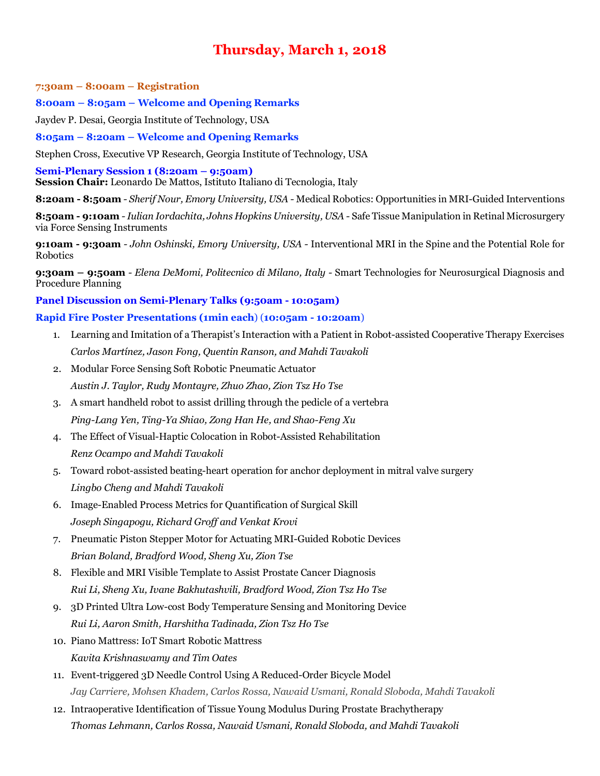# **Thursday, March 1, 2018**

**7:30am – 8:00am – Registration**

**8:00am – 8:05am – Welcome and Opening Remarks**

Jaydev P. Desai, Georgia Institute of Technology, USA

**8:05am – 8:20am – Welcome and Opening Remarks**

Stephen Cross, Executive VP Research, Georgia Institute of Technology, USA

**Semi-Plenary Session 1 (8:20am – 9:50am) Session Chair:** Leonardo De Mattos, Istituto Italiano di Tecnologia, Italy

**8:20am - 8:50am** *- Sherif Nour, Emory University, USA -* Medical Robotics: Opportunities in MRI-Guided Interventions

**8:50am - 9:10am** *- Iulian Iordachita, Johns Hopkins University, USA -* Safe Tissue Manipulation in Retinal Microsurgery via Force Sensing Instruments

**9:10am - 9:30am** *- John Oshinski, Emory University, USA -* Interventional MRI in the Spine and the Potential Role for Robotics

**9:30am – 9:50am** *- Elena DeMomi, Politecnico di Milano, Italy -* Smart Technologies for Neurosurgical Diagnosis and Procedure Planning

#### **Panel Discussion on Semi-Plenary Talks (9:50am - 10:05am)**

#### **Rapid Fire Poster Presentations (1min each**) (**10:05am - 10:20am**)

- 1. Learning and Imitation of a Therapist's Interaction with a Patient in Robot-assisted Cooperative Therapy Exercises *Carlos Martínez, Jason Fong, Quentin Ranson, and Mahdi Tavakoli*
- 2. Modular Force Sensing Soft Robotic Pneumatic Actuator *Austin J. Taylor, Rudy Montayre, Zhuo Zhao, Zion Tsz Ho Tse*
- 3. A smart handheld robot to assist drilling through the pedicle of a vertebra *Ping-Lang Yen, Ting-Ya Shiao, Zong Han He, and Shao-Feng Xu*
- 4. The Effect of Visual-Haptic Colocation in Robot-Assisted Rehabilitation *Renz Ocampo and Mahdi Tavakoli*
- 5. Toward robot-assisted beating-heart operation for anchor deployment in mitral valve surgery *Lingbo Cheng and Mahdi Tavakoli*
- 6. Image-Enabled Process Metrics for Quantification of Surgical Skill *Joseph Singapogu, Richard Groff and Venkat Krovi*
- 7. Pneumatic Piston Stepper Motor for Actuating MRI-Guided Robotic Devices *Brian Boland, Bradford Wood, Sheng Xu, Zion Tse*
- 8. Flexible and MRI Visible Template to Assist Prostate Cancer Diagnosis *Rui Li, Sheng Xu, Ivane Bakhutashvili, Bradford Wood, Zion Tsz Ho Tse*
- 9. 3D Printed Ultra Low-cost Body Temperature Sensing and Monitoring Device *Rui Li, Aaron Smith, Harshitha Tadinada, Zion Tsz Ho Tse*
- 10. Piano Mattress: IoT Smart Robotic Mattress *Kavita Krishnaswamy and Tim Oates*
- 11. Event-triggered 3D Needle Control Using A Reduced-Order Bicycle Model *Jay Carriere, Mohsen Khadem, Carlos Rossa, Nawaid Usmani, Ronald Sloboda, Mahdi Tavakoli*
- 12. Intraoperative Identification of Tissue Young Modulus During Prostate Brachytherapy *Thomas Lehmann, Carlos Rossa, Nawaid Usmani, Ronald Sloboda, and Mahdi Tavakoli*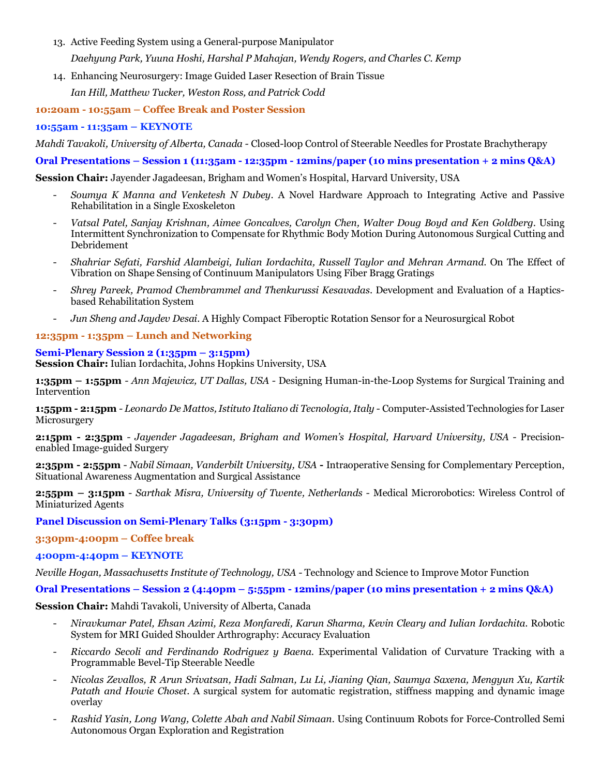- 13. Active Feeding System using a General-purpose Manipulator *Daehyung Park, Yuuna Hoshi, Harshal P Mahajan, Wendy Rogers, and Charles C. Kemp*
- 14. Enhancing Neurosurgery: Image Guided Laser Resection of Brain Tissue

*Ian Hill, Matthew Tucker, Weston Ross, and Patrick Codd*

### **10:20am - 10:55am – Coffee Break and Poster Session**

# **10:55am - 11:35am – KEYNOTE**

*Mahdi Tavakoli, University of Alberta, Canada -* Closed-loop Control of Steerable Needles for Prostate Brachytherapy

**Oral Presentations – Session 1 (11:35am - 12:35pm - 12mins/paper (10 mins presentation + 2 mins Q&A)**

**Session Chair:** Jayender Jagadeesan, Brigham and Women's Hospital, Harvard University, USA

- *Soumya K Manna and Venketesh N Dubey*. A Novel Hardware Approach to Integrating Active and Passive Rehabilitation in a Single Exoskeleton
- *Vatsal Patel, Sanjay Krishnan, Aimee Goncalves, Carolyn Chen, Walter Doug Boyd and Ken Goldberg*. Using Intermittent Synchronization to Compensate for Rhythmic Body Motion During Autonomous Surgical Cutting and Debridement
- *Shahriar Sefati, Farshid Alambeigi, Iulian Iordachita, Russell Taylor and Mehran Armand*. On The Effect of Vibration on Shape Sensing of Continuum Manipulators Using Fiber Bragg Gratings
- *Shrey Pareek, Pramod Chembrammel and Thenkurussi Kesavadas*. Development and Evaluation of a Hapticsbased Rehabilitation System
- *Jun Sheng and Jaydev Desai*. A Highly Compact Fiberoptic Rotation Sensor for a Neurosurgical Robot

### **12:35pm - 1:35pm – Lunch and Networking**

# **Semi-Plenary Session 2 (1:35pm – 3:15pm)**

**Session Chair:** Iulian Iordachita, Johns Hopkins University, USA

**1:35pm – 1:55pm** *- Ann Majewicz, UT Dallas, USA -* Designing Human-in-the-Loop Systems for Surgical Training and Intervention

**1:55pm - 2:15pm** *- Leonardo De Mattos, Istituto Italiano di Tecnologia, Italy -* Computer-Assisted Technologies for Laser Microsurgery

**2:15pm - 2:35pm** *- Jayender Jagadeesan, Brigham and Women's Hospital, Harvard University, USA -* Precisionenabled Image-guided Surgery

**2:35pm - 2:55pm** - *Nabil Simaan, Vanderbilt University, USA* **-** Intraoperative Sensing for Complementary Perception, Situational Awareness Augmentation and Surgical Assistance

**2:55pm – 3:15pm** *- Sarthak Misra, University of Twente, Netherlands -* Medical Microrobotics: Wireless Control of Miniaturized Agents

**Panel Discussion on Semi-Plenary Talks (3:15pm - 3:30pm)**

**3:30pm-4:00pm – Coffee break**

### **4:00pm-4:40pm – KEYNOTE**

*Neville Hogan, Massachusetts Institute of Technology, USA -* Technology and Science to Improve Motor Function

**Oral Presentations – Session 2 (4:40pm – 5:55pm - 12mins/paper (10 mins presentation + 2 mins Q&A)**

**Session Chair:** Mahdi Tavakoli, University of Alberta, Canada

- *Niravkumar Patel, Ehsan Azimi, Reza Monfaredi, Karun Sharma, Kevin Cleary and Iulian Iordachita*. Robotic System for MRI Guided Shoulder Arthrography: Accuracy Evaluation
- *Riccardo Secoli and Ferdinando Rodriguez y Baena*. Experimental Validation of Curvature Tracking with a Programmable Bevel-Tip Steerable Needle
- *Nicolas Zevallos, R Arun Srivatsan, Hadi Salman, Lu Li, Jianing Qian, Saumya Saxena, Mengyun Xu, Kartik Patath and Howie Choset*. A surgical system for automatic registration, stiffness mapping and dynamic image overlay
- *Rashid Yasin, Long Wang, Colette Abah and Nabil Simaan*. Using Continuum Robots for Force-Controlled Semi Autonomous Organ Exploration and Registration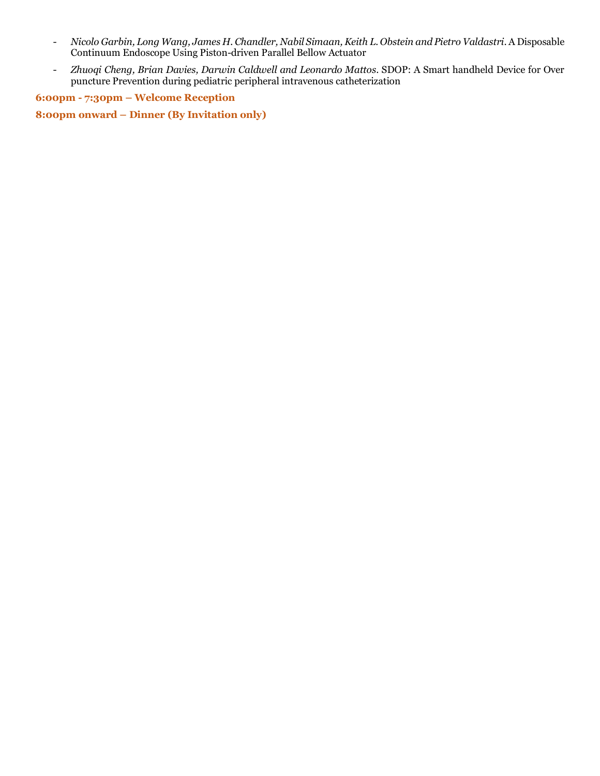- *Nicolo Garbin, Long Wang, James H. Chandler, Nabil Simaan, Keith L. Obstein and Pietro Valdastri*. A Disposable Continuum Endoscope Using Piston-driven Parallel Bellow Actuator
- *Zhuoqi Cheng, Brian Davies, Darwin Caldwell and Leonardo Mattos*. SDOP: A Smart handheld Device for Over puncture Prevention during pediatric peripheral intravenous catheterization

**6:00pm - 7:30pm – Welcome Reception**

**8:00pm onward – Dinner (By Invitation only)**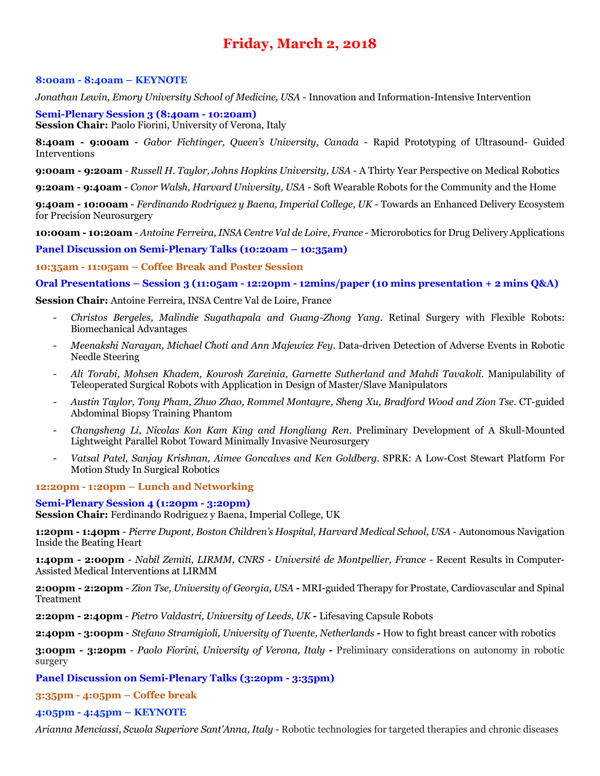# **Friday, March 2, 2018**

#### **8:00am - 8:40am – KEYNOTE**

*Jonathan Lewin, Emory University School of Medicine, USA -* Innovation and Information-Intensive Intervention

**Semi-Plenary Session 3 (8:40am - 10:20am) Session Chair:** Paolo Fiorini, University of Verona, Italy

**8:40am - 9:00am** - *Gabor Fichtinger, Queen's University, Canada -* Rapid Prototyping of Ultrasound- Guided Interventions

**9:00am - 9:20am** - *Russell H. Taylor, Johns Hopkins University, USA -* A Thirty Year Perspective on Medical Robotics

**9:20am - 9:40am** - *Conor Walsh, Harvard University, USA -* Soft Wearable Robots for the Community and the Home

**9:40am - 10:00am** - *Ferdinando Rodriguez y Baena, Imperial College, UK -* Towards an Enhanced Delivery Ecosystem for Precision Neurosurgery

**10:00am - 10:20am** - *Antoine Ferreira, INSA Centre Val de Loire, France -* Microrobotics for Drug Delivery Applications

**Panel Discussion on Semi-Plenary Talks (10:20am – 10:35am)**

**10:35am - 11:05am – Coffee Break and Poster Session**

**Oral Presentations – Session 3 (11:05am - 12:20pm - 12mins/paper (10 mins presentation + 2 mins Q&A)**

**Session Chair:** Antoine Ferreira, INSA Centre Val de Loire, France

- *Christos Bergeles, Malindie Sugathapala and Guang-Zhong Yang*. Retinal Surgery with Flexible Robots: Biomechanical Advantages
- *Meenakshi Narayan, Michael Choti and Ann Majewicz Fey*. Data-driven Detection of Adverse Events in Robotic Needle Steering
- *Ali Torabi, Mohsen Khadem, Kourosh Zareinia, Garnette Sutherland and Mahdi Tavakoli*. Manipulability of Teleoperated Surgical Robots with Application in Design of Master/Slave Manipulators
- *Austin Taylor, Tony Pham, Zhuo Zhao, Rommel Montayre, Sheng Xu, Bradford Wood and Zion Tse*. CT-guided Abdominal Biopsy Training Phantom
- *Changsheng Li, Nicolas Kon Kam King and Hongliang Ren*. Preliminary Development of A Skull-Mounted Lightweight Parallel Robot Toward Minimally Invasive Neurosurgery
- *Vatsal Patel, Sanjay Krishnan, Aimee Goncalves and Ken Goldberg*. SPRK: A Low-Cost Stewart Platform For Motion Study In Surgical Robotics

#### **12:20pm - 1:20pm – Lunch and Networking**

#### **Semi-Plenary Session 4 (1:20pm - 3:20pm)**

**Session Chair:** Ferdinando Rodriguez y Baena, Imperial College, UK

**1:20pm - 1:40pm** - *Pierre Dupont, Boston Children's Hospital, Harvard Medical School, USA -* Autonomous Navigation Inside the Beating Heart

**1:40pm - 2:00pm** - *Nabil Zemiti, LIRMM, CNRS - Université de Montpellier, France* - Recent Results in Computer-Assisted Medical Interventions at LIRMM

**2:00pm - 2:20pm** - *Zion Tse, University of Georgia, USA* **-** MRI-guided Therapy for Prostate, Cardiovascular and Spinal Treatment

**2:20pm - 2:40pm** - *Pietro Valdastri, University of Leeds, UK* **-** Lifesaving Capsule Robots

**2:40pm - 3:00pm** - *Stefano Stramigioli, University of Twente, Netherlands* **-** How to fight breast cancer with robotics

**3:00pm - 3:20pm** - *Paolo Fiorini, University of Verona, Italy* **-** Preliminary considerations on autonomy in robotic surgery

# **Panel Discussion on Semi-Plenary Talks (3:20pm - 3:35pm)**

**3:35pm - 4:05pm – Coffee break**

#### **4:05pm - 4:45pm – KEYNOTE**

*Arianna Menciassi, Scuola Superiore Sant'Anna, Italy -* Robotic technologies for targeted therapies and chronic diseases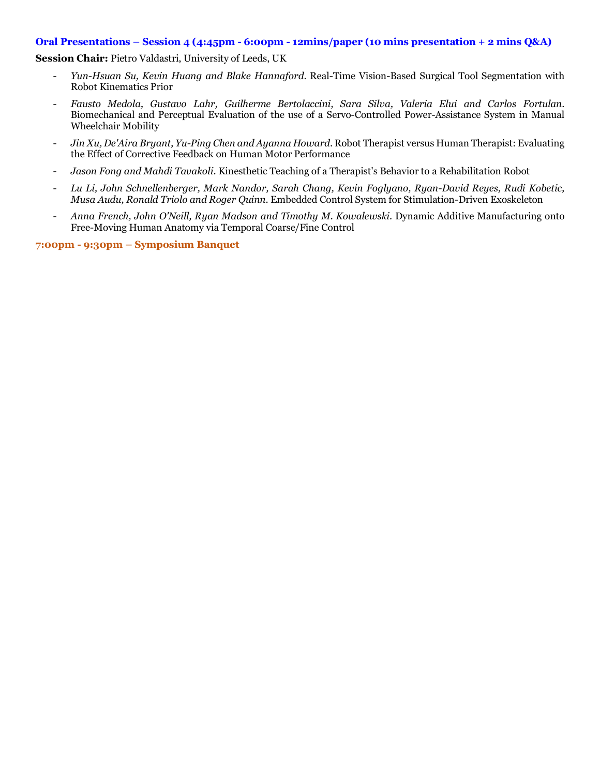#### **Oral Presentations – Session 4 (4:45pm - 6:00pm - 12mins/paper (10 mins presentation + 2 mins Q&A)**

**Session Chair:** Pietro Valdastri, University of Leeds, UK

- *Yun-Hsuan Su, Kevin Huang and Blake Hannaford*. Real-Time Vision-Based Surgical Tool Segmentation with Robot Kinematics Prior
- *Fausto Medola, Gustavo Lahr, Guilherme Bertolaccini, Sara Silva, Valeria Elui and Carlos Fortulan*. Biomechanical and Perceptual Evaluation of the use of a Servo-Controlled Power-Assistance System in Manual Wheelchair Mobility
- *Jin Xu, De'Aira Bryant, Yu-Ping Chen and Ayanna Howard*. Robot Therapist versus Human Therapist: Evaluating the Effect of Corrective Feedback on Human Motor Performance
- *Jason Fong and Mahdi Tavakoli*. Kinesthetic Teaching of a Therapist's Behavior to a Rehabilitation Robot
- *Lu Li, John Schnellenberger, Mark Nandor, Sarah Chang, Kevin Foglyano, Ryan-David Reyes, Rudi Kobetic, Musa Audu, Ronald Triolo and Roger Quinn*. Embedded Control System for Stimulation-Driven Exoskeleton
- *Anna French, John O'Neill, Ryan Madson and Timothy M. Kowalewski*. Dynamic Additive Manufacturing onto Free-Moving Human Anatomy via Temporal Coarse/Fine Control

**7:00pm - 9:30pm – Symposium Banquet**